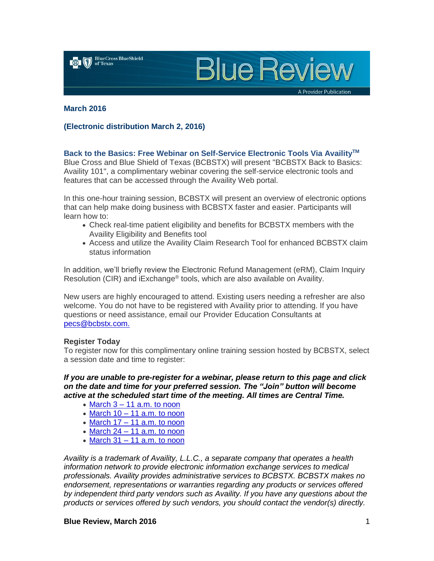

**Blue Review** 

A Provider Publication

## **March 2016**

# **(Electronic distribution March 2, 2016)**

# **Back to the Basics: Free Webinar on Self-Service Electronic Tools Via AvailityTM**

Blue Cross and Blue Shield of Texas (BCBSTX) will present "BCBSTX Back to Basics: Availity 101", a complimentary webinar covering the self-service electronic tools and features that can be accessed through the Availity Web portal.

In this one-hour training session, BCBSTX will present an overview of electronic options that can help make doing business with BCBSTX faster and easier. Participants will learn how to:

- Check real-time patient eligibility and benefits for BCBSTX members with the Availity Eligibility and Benefits tool
- Access and utilize the Availity Claim Research Tool for enhanced BCBSTX claim status information

In addition, we'll briefly review the Electronic Refund Management (eRM), Claim Inquiry Resolution (CIR) and iExchange® tools, which are also available on Availity.

New users are highly encouraged to attend. Existing users needing a refresher are also welcome. You do not have to be registered with Availity prior to attending. If you have questions or need assistance, email our Provider Education Consultants at [pecs@bcbstx.com.](mailto:pecs@bcbsil.com)

# **Register Today**

To register now for this complimentary online training session hosted by BCBSTX, select a session date and time to register:

*If you are unable to pre-register for a webinar, please return to this page and click on the date and time for your preferred session. The "Join" button will become active at the scheduled start time of the meeting. All times are Central Time.*

- $\bullet$  March 3 11 a.m. to noon
- $\bullet$  March 10 [11 a.m. to noon](https://hcsc.webex.com/hcsc/j.php?RGID=re68de34f6ff68d737b57ddf8cf4ef6da)
- $\bullet$  March 17 [11 a.m. to noon](https://hcsc.webex.com/hcsc/j.php?RGID=rcbc5e7b97e7806ac2eaf64f80a0d0f3f)
- $\bullet$  March 24 [11 a.m. to noon](https://hcsc.webex.com/hcsc/j.php?RGID=r2da69e4c7d6482ef27343237e54319c2)
- $\bullet$  March 31 [11 a.m. to noon](https://hcsc.webex.com/hcsc/j.php?RGID=r1c1e545559ba0efbdde23dca49b546fb)

*Availity is a trademark of Availity, L.L.C., a separate company that operates a health information network to provide electronic information exchange services to medical professionals. Availity provides administrative services to BCBSTX. BCBSTX makes no endorsement, representations or warranties regarding any products or services offered by independent third party vendors such as Availity. If you have any questions about the products or services offered by such vendors, you should contact the vendor(s) directly.*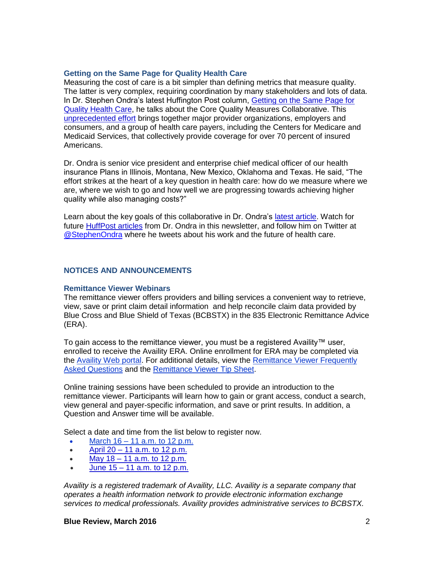## **Getting on the Same Page for Quality Health Care**

Measuring the cost of care is a bit simpler than defining metrics that measure quality. The latter is very complex, requiring coordination by many stakeholders and lots of data. In Dr. Stephen Ondra's latest Huffington Post column, [Getting on the Same Page for](http://www.huffingtonpost.com/dr-stephen-ondra/getting-on-the-same-page-_1_b_9243480.html)  [Quality Health Care,](http://www.huffingtonpost.com/dr-stephen-ondra/getting-on-the-same-page-_1_b_9243480.html) he talks about the Core Quality Measures Collaborative. This [unprecedented effort](http://healthaffairs.org/blog/2015/06/23/the-core-quality-measures-collaborative-a-rationale-and-framework-for-public-private-quality-measure-alignment/) brings together major provider organizations, employers and consumers, and a group of health care payers, including the Centers for Medicare and Medicaid Services, that collectively provide coverage for over 70 percent of insured Americans.

Dr. Ondra is senior vice president and enterprise chief medical officer of our health insurance Plans in Illinois, Montana, New Mexico, Oklahoma and Texas. He said, "The effort strikes at the heart of a key question in health care: how do we measure where we are, where we wish to go and how well we are progressing towards achieving higher quality while also managing costs?"

Learn about the key goals of this collaborative in Dr. Ondra's [latest article.](http://www.huffingtonpost.com/dr-stephen-ondra/getting-on-the-same-page-_1_b_9243480.html) Watch for future [HuffPost articles](http://www.huffingtonpost.com/dr-stephen-ondra/) from Dr. Ondra in this newsletter, and follow him on Twitter at [@StephenOndra](https://twitter.com/StephenOndra) where he tweets about his work and the future of health care.

# **NOTICES AND ANNOUNCEMENTS**

## **Remittance Viewer Webinars**

The remittance viewer offers providers and billing services a convenient way to retrieve, view, save or print claim detail information and help reconcile claim data provided by Blue Cross and Blue Shield of Texas (BCBSTX) in the 835 Electronic Remittance Advice (ERA).

To gain access to the remittance viewer, you must be a registered Availity™ user, enrolled to receive the Availity ERA. Online enrollment for ERA may be completed via the [Availity Web portal.](http://www.availity.com/) For additional details, view the [Remittance Viewer Frequently](http://www.bcbstx.com/provider/pdf/remittance_viewer_faqs.pdf)  [Asked Questions](http://www.bcbstx.com/provider/pdf/remittance_viewer_faqs.pdf) and the [Remittance Viewer Tip Sheet.](http://www.bcbstx.com/provider/pdf/remittance_viewer_tip_sheet.pdf)

Online training sessions have been scheduled to provide an introduction to the remittance viewer. Participants will learn how to gain or grant access, conduct a search, view general and payer-specific information, and save or print results. In addition, a Question and Answer time will be available.

Select a date and time from the list below to register now.

- March 16 [11 a.m. to 12 p.m.](https://hcsc.webex.com/hcsc/j.php?RGID=r8dad935e3e511e7c227b10a40e130789)
- April  $20 11$  a.m. to  $12$  p.m.
- May  $18 11$  a.m. to  $12$  p.m.
- $\bullet$  June 15 [11 a.m. to 12 p.m.](https://hcsc.webex.com/hcsc/j.php?RGID=re76b88f7a4bf5cdba6a540fc49c4b1a8)

*Availity is a registered trademark of Availity, LLC. Availity is a separate company that operates a health information network to provide electronic information exchange services to medical professionals. Availity provides administrative services to BCBSTX.*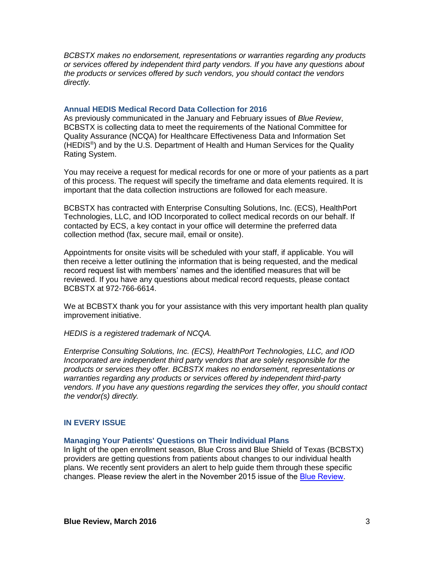*BCBSTX makes no endorsement, representations or warranties regarding any products or services offered by independent third party vendors. If you have any questions about the products or services offered by such vendors, you should contact the vendors directly.*

## **Annual HEDIS Medical Record Data Collection for 2016**

As previously communicated in the January and February issues of *Blue Review*, BCBSTX is collecting data to meet the requirements of the National Committee for Quality Assurance (NCQA) for Healthcare Effectiveness Data and Information Set  $(HEDIS<sup>®</sup>)$  and by the U.S. Department of Health and Human Services for the Quality Rating System.

You may receive a request for medical records for one or more of your patients as a part of this process. The request will specify the timeframe and data elements required. It is important that the data collection instructions are followed for each measure.

BCBSTX has contracted with Enterprise Consulting Solutions, Inc. (ECS), HealthPort Technologies, LLC, and IOD Incorporated to collect medical records on our behalf. If contacted by ECS, a key contact in your office will determine the preferred data collection method (fax, secure mail, email or onsite).

Appointments for onsite visits will be scheduled with your staff, if applicable. You will then receive a letter outlining the information that is being requested, and the medical record request list with members' names and the identified measures that will be reviewed. If you have any questions about medical record requests, please contact BCBSTX at 972-766-6614.

We at BCBSTX thank you for your assistance with this very important health plan quality improvement initiative.

*HEDIS is a registered trademark of NCQA.*

*Enterprise Consulting Solutions, Inc. (ECS), HealthPort Technologies, LLC, and IOD Incorporated are independent third party vendors that are solely responsible for the products or services they offer. BCBSTX makes no endorsement, representations or warranties regarding any products or services offered by independent third-party vendors. If you have any questions regarding the services they offer, you should contact the vendor(s) directly.*

# **IN EVERY ISSUE**

## **Managing Your Patients' Questions on Their Individual Plans**

In light of the open enrollment season, Blue Cross and Blue Shield of Texas (BCBSTX) providers are getting questions from patients about changes to our individual health plans. We recently sent providers an alert to help guide them through these specific changes. Please review the alert in the November 2015 issue of the [Blue Review.](https://www.bcbstx.com/provider/news/bluereview.html)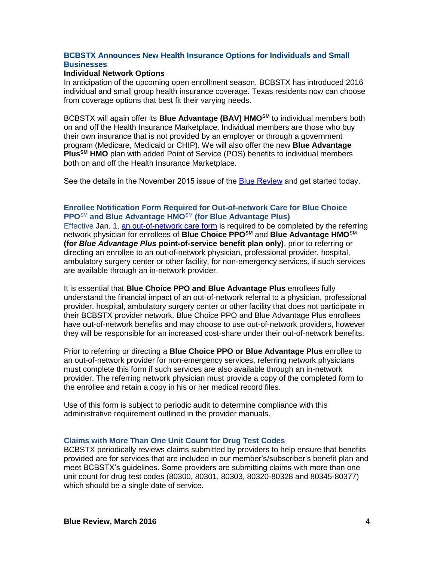# **BCBSTX Announces New Health Insurance Options for Individuals and Small Businesses**

## **Individual Network Options**

In anticipation of the upcoming open enrollment season, BCBSTX has introduced 2016 individual and small group health insurance coverage. Texas residents now can choose from coverage options that best fit their varying needs.

BCBSTX will again offer its **Blue Advantage (BAV) HMOSM** to individual members both on and off the Health Insurance Marketplace. Individual members are those who buy their own insurance that is not provided by an employer or through a government program (Medicare, Medicaid or CHIP). We will also offer the new **Blue Advantage PlusSM HMO** plan with added Point of Service (POS) benefits to individual members both on and off the Health Insurance Marketplace.

See the details in the November 2015 issue of the [Blue Review](https://www.bcbstx.com/provider/news/bluereview.html) and get started today.

## **Enrollee Notification Form Required for Out-of-network Care for Blue Choice PPO**SM **and Blue Advantage HMO**SM **(for Blue Advantage Plus)**

Effective Jan. 1, [an out-of-network care form](http://www.bcbstx.com/provider/pdf/out-of-network-care-enrollee-notification-form.pdf) is required to be completed by the referring network physician for enrollees of **Blue Choice PPOSM** and **Blue Advantage HMO**SM **(for** *Blue Advantage Plus* **point-of-service benefit plan only)**, prior to referring or directing an enrollee to an out-of-network physician, professional provider, hospital, ambulatory surgery center or other facility, for non-emergency services, if such services are available through an in-network provider.

It is essential that **Blue Choice PPO and Blue Advantage Plus** enrollees fully understand the financial impact of an out-of-network referral to a physician, professional provider, hospital, ambulatory surgery center or other facility that does not participate in their BCBSTX provider network. Blue Choice PPO and Blue Advantage Plus enrollees have out-of-network benefits and may choose to use out-of-network providers, however they will be responsible for an increased cost-share under their out-of-network benefits.

Prior to referring or directing a **Blue Choice PPO or Blue Advantage Plus** enrollee to an out-of-network provider for non-emergency services, referring network physicians must complete this form if such services are also available through an in-network provider. The referring network physician must provide a copy of the completed form to the enrollee and retain a copy in his or her medical record files.

Use of this form is subject to periodic audit to determine compliance with this administrative requirement outlined in the provider manuals.

# **Claims with More Than One Unit Count for Drug Test Codes**

BCBSTX periodically reviews claims submitted by providers to help ensure that benefits provided are for services that are included in our member's/subscriber's benefit plan and meet BCBSTX's guidelines. Some providers are submitting claims with more than one unit count for drug test codes (80300, 80301, 80303, 80320-80328 and 80345-80377) which should be a single date of service.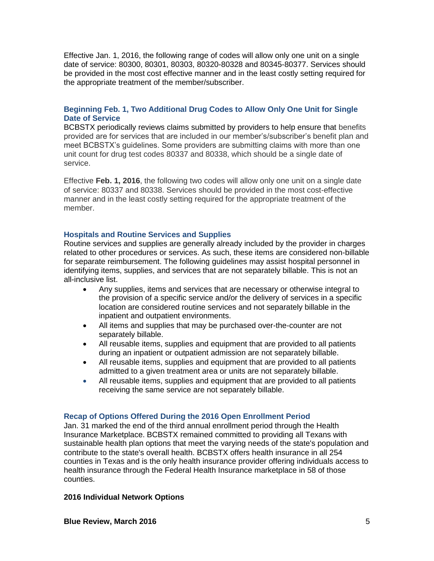Effective Jan. 1, 2016, the following range of codes will allow only one unit on a single date of service: 80300, 80301, 80303, 80320-80328 and 80345-80377. Services should be provided in the most cost effective manner and in the least costly setting required for the appropriate treatment of the member/subscriber.

# **Beginning Feb. 1, Two Additional Drug Codes to Allow Only One Unit for Single Date of Service**

BCBSTX periodically reviews claims submitted by providers to help ensure that benefits provided are for services that are included in our member's/subscriber's benefit plan and meet BCBSTX's guidelines. Some providers are submitting claims with more than one unit count for drug test codes 80337 and 80338, which should be a single date of service.

Effective **Feb. 1, 2016**, the following two codes will allow only one unit on a single date of service: 80337 and 80338. Services should be provided in the most cost-effective manner and in the least costly setting required for the appropriate treatment of the member.

## **Hospitals and Routine Services and Supplies**

Routine services and supplies are generally already included by the provider in charges related to other procedures or services. As such, these items are considered non-billable for separate reimbursement. The following guidelines may assist hospital personnel in identifying items, supplies, and services that are not separately billable. This is not an all-inclusive list.

- Any supplies, items and services that are necessary or otherwise integral to the provision of a specific service and/or the delivery of services in a specific location are considered routine services and not separately billable in the inpatient and outpatient environments.
- All items and supplies that may be purchased over-the-counter are not separately billable.
- All reusable items, supplies and equipment that are provided to all patients during an inpatient or outpatient admission are not separately billable.
- All reusable items, supplies and equipment that are provided to all patients admitted to a given treatment area or units are not separately billable.
- All reusable items, supplies and equipment that are provided to all patients receiving the same service are not separately billable.

## **Recap of Options Offered During the 2016 Open Enrollment Period**

Jan. 31 marked the end of the third annual enrollment period through the Health Insurance Marketplace. BCBSTX remained committed to providing all Texans with sustainable health plan options that meet the varying needs of the state's population and contribute to the state's overall health. BCBSTX offers health insurance in all 254 counties in Texas and is the only health insurance provider offering individuals access to health insurance through the Federal Health Insurance marketplace in 58 of those counties.

#### **2016 Individual Network Options**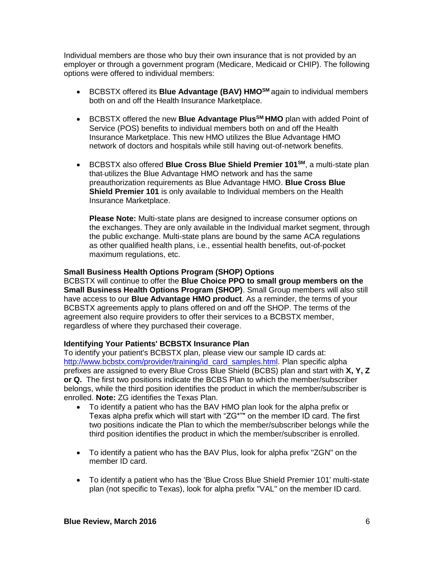Individual members are those who buy their own insurance that is not provided by an employer or through a government program (Medicare, Medicaid or CHIP). The following options were offered to individual members:

- BCBSTX offered its **Blue Advantage (BAV) HMOSM** again to individual members both on and off the Health Insurance Marketplace.
- BCBSTX offered the new **Blue Advantage PlusSM HMO** plan with added Point of Service (POS) benefits to individual members both on and off the Health Insurance Marketplace. This new HMO utilizes the Blue Advantage HMO network of doctors and hospitals while still having out-of-network benefits.
- BCBSTX also offered **Blue Cross Blue Shield Premier 101SM**, a multi-state plan that utilizes the Blue Advantage HMO network and has the same preauthorization requirements as Blue Advantage HMO. **[Blue Cross Blue](http://www.bcbstx.com/provider/pdf/hmo_bav_referral_list.pdf)  Shield Premier 101** [is only available to Individual members on the Health](http://www.bcbstx.com/provider/pdf/hmo_bav_referral_list.pdf)  [Insurance Marketplace.](http://www.bcbstx.com/provider/pdf/hmo_bav_referral_list.pdf)

**Please Note:** [Multi-state plans are designed to increase consumer options on](http://www.bcbstx.com/provider/pdf/hmo_bav_referral_list.pdf)  [the exchanges. They are only available in the Individual market segment, through](http://www.bcbstx.com/provider/pdf/hmo_bav_referral_list.pdf)  [the public exchange. Multi-state plans are bound by the](http://www.bcbstx.com/provider/pdf/hmo_bav_referral_list.pdf) same ACA regulations [as other qualified health plans, i.e., essential health benefits, out-of-pocket](http://www.bcbstx.com/provider/pdf/hmo_bav_referral_list.pdf)  [maximum regulations, etc.](http://www.bcbstx.com/provider/pdf/hmo_bav_referral_list.pdf) 

## **Small Business Health Options Program (SHOP) Options**

BCBSTX will continue to offer the **Blue Choice PPO to small group members on the Small Business Health Options Program (SHOP)**. Small Group members will also still have access to our **Blue Advantage HMO product**. As a reminder, the terms of your BCBSTX agreements apply to plans offered on and off the SHOP. The terms of the agreement also require providers to offer their services to a BCBSTX member, regardless of where they purchased their coverage.

## **Identifying Your Patients' BCBSTX Insurance Plan**

To identify your patient's BCBSTX plan, please view our sample ID cards at: [http://www.bcbstx.com/provider/training/id\\_card\\_samples.html.](http://www.bcbstx.com/provider/training/id_card_samples.html) Plan specific alpha prefixes are assigned to every Blue Cross Blue Shield (BCBS) plan and start with **X, Y, Z or Q.** The first two positions indicate the BCBS Plan to which the member/subscriber belongs, while the third position identifies the product in which the member/subscriber is enrolled. **Note:** ZG identifies the Texas Plan.

- To identify a patient who has the BAV HMO plan look for the alpha prefix or Texas alpha prefix which will start with "ZG\*"" on the member ID card. The first two positions indicate the Plan to which the member/subscriber belongs while the third position identifies the product in which the member/subscriber is enrolled.
- To identify a patient who has the BAV Plus, look for alpha prefix "ZGN" on the member ID card.
- To identify a patient who has the 'Blue Cross Blue Shield Premier 101' multi-state plan (not specific to Texas), look for alpha prefix "VAL" on the member ID card.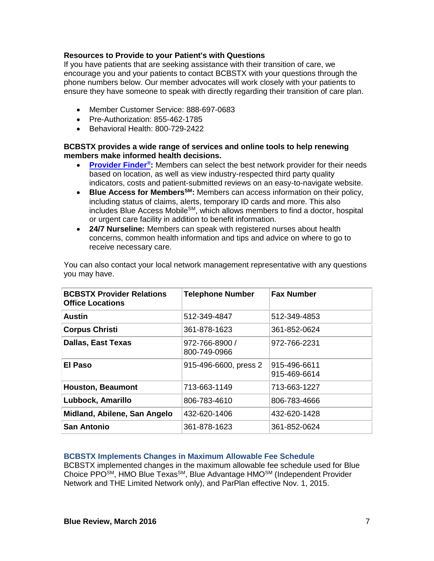# **Resources to Provide to your Patient's with Questions**

If you have patients that are seeking assistance with their transition of care, we encourage you and your patients to contact BCBSTX with your questions through the phone numbers below. Our member advocates will work closely with your patients to ensure they have someone to speak with directly regarding their transition of care plan.

- Member Customer Service: 888-697-0683
- Pre-Authorization: 855-462-1785
- Behavioral Health: 800-729-2422

## **BCBSTX provides a wide range of services and online tools to help renewing members make informed health decisions.**

- **[Provider Finder](https://public.hcsc.net/providerfinder/search.do?corpEntCd=TX1)<sup>®</sup>**. Members can select the best network provider for their needs based on location, as well as view industry-respected third party quality indicators, costs and patient-submitted reviews on an easy-to-navigate website.
- **Blue Access for MembersSM:** Members can access information on their policy, including status of claims, alerts, temporary ID cards and more. This also includes Blue Access Mobile<sup>SM</sup>, which allows members to find a doctor, hospital or urgent care facility in addition to benefit information.
- **24/7 Nurseline:** Members can speak with registered nurses about health concerns, common health information and tips and advice on where to go to receive necessary care.

| <b>BCBSTX Provider Relations</b><br><b>Office Locations</b> | <b>Telephone Number</b>        | <b>Fax Number</b>            |
|-------------------------------------------------------------|--------------------------------|------------------------------|
| <b>Austin</b>                                               | 512-349-4847                   | 512-349-4853                 |
| <b>Corpus Christi</b>                                       | 361-878-1623                   | 361-852-0624                 |
| <b>Dallas, East Texas</b>                                   | 972-766-8900 /<br>800-749-0966 | 972-766-2231                 |
| <b>El Paso</b>                                              | 915-496-6600, press 2          | 915-496-6611<br>915-469-6614 |
| <b>Houston, Beaumont</b>                                    | 713-663-1149                   | 713-663-1227                 |
| Lubbock, Amarillo                                           | 806-783-4610                   | 806-783-4666                 |
| Midland, Abilene, San Angelo                                | 432-620-1406                   | 432-620-1428                 |
| <b>San Antonio</b>                                          | 361-878-1623                   | 361-852-0624                 |

You can also contact your local network management representative with any questions you may have.

## **BCBSTX Implements Changes in Maximum Allowable Fee Schedule**

BCBSTX implemented changes in the maximum allowable fee schedule used for Blue Choice PPO<sup>SM</sup>, HMO Blue Texas<sup>SM</sup>, Blue Advantage HMO<sup>SM</sup> (Independent Provider Network and THE Limited Network only), and ParPlan effective Nov. 1, 2015.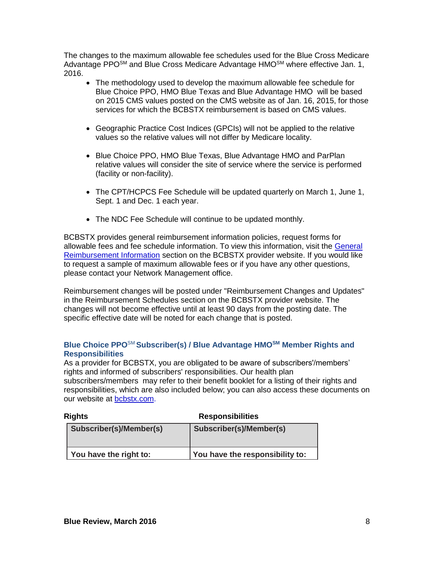The changes to the maximum allowable fee schedules used for the Blue Cross Medicare Advantage PPO<sup>SM</sup> and Blue Cross Medicare Advantage HMO<sup>SM</sup> where effective Jan. 1, 2016.

- The methodology used to develop the maximum allowable fee schedule for Blue Choice PPO, HMO Blue Texas and Blue Advantage HMO will be based on 2015 CMS values posted on the CMS website as of Jan. 16, 2015, for those services for which the BCBSTX reimbursement is based on CMS values.
- Geographic Practice Cost Indices (GPCIs) will not be applied to the relative values so the relative values will not differ by Medicare locality.
- Blue Choice PPO, HMO Blue Texas, Blue Advantage HMO and ParPlan relative values will consider the site of service where the service is performed (facility or non-facility).
- The CPT/HCPCS Fee Schedule will be updated quarterly on March 1, June 1, Sept. 1 and Dec. 1 each year.
- The NDC Fee Schedule will continue to be updated monthly.

BCBSTX provides general reimbursement information policies, request forms for allowable fees and fee schedule information. To view this information, visit the [General](http://www.bcbstx.com/provider/gri/index.html)  [Reimbursement Information](http://www.bcbstx.com/provider/gri/index.html) section on the BCBSTX provider website. If you would like to request a sample of maximum allowable fees or if you have any other questions, please contact your Network Management office.

Reimbursement changes will be posted under "Reimbursement Changes and Updates" in the Reimbursement Schedules section on the BCBSTX provider website. The changes will not become effective until at least 90 days from the posting date. The specific effective date will be noted for each change that is posted.

# **Blue Choice PPO**SM **Subscriber(s) / Blue Advantage HMOSM Member Rights and Responsibilities**

As a provider for BCBSTX, you are obligated to be aware of subscribers'/members' rights and informed of subscribers' responsibilities. Our health plan subscribers/members may refer to their benefit booklet for a listing of their rights and responsibilities, which are also included below; you can also access these documents on our website at [bcbstx.com.](http://www.bcbstx.com/)

| Rights                  | <b>Responsibilities</b>         |
|-------------------------|---------------------------------|
| Subscriber(s)/Member(s) | Subscriber(s)/Member(s)         |
| You have the right to:  | You have the responsibility to: |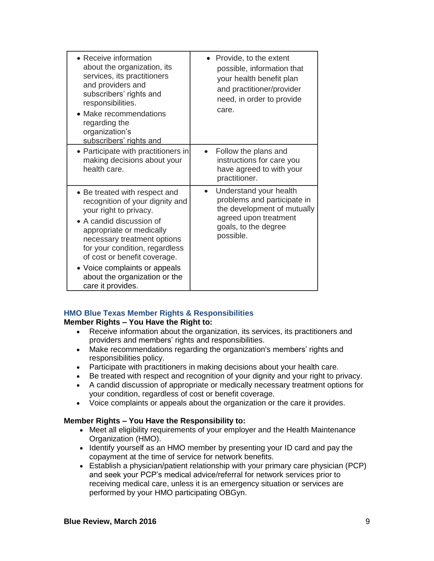| • Receive information<br>about the organization, its<br>services, its practitioners<br>and providers and<br>subscribers' rights and<br>responsibilities.<br>• Make recommendations<br>regarding the<br>organization's<br>subscribers' rights and                                                                                           | • Provide, to the extent<br>possible, information that<br>your health benefit plan<br>and practitioner/provider<br>need, in order to provide<br>care. |
|--------------------------------------------------------------------------------------------------------------------------------------------------------------------------------------------------------------------------------------------------------------------------------------------------------------------------------------------|-------------------------------------------------------------------------------------------------------------------------------------------------------|
| • Participate with practitioners in<br>making decisions about your<br>health care.                                                                                                                                                                                                                                                         | Follow the plans and<br>instructions for care you<br>have agreed to with your<br>practitioner.                                                        |
| • Be treated with respect and<br>recognition of your dignity and<br>your right to privacy.<br>• A candid discussion of<br>appropriate or medically<br>necessary treatment options<br>for your condition, regardless<br>of cost or benefit coverage.<br>• Voice complaints or appeals<br>about the organization or the<br>care it provides. | Understand your health<br>problems and participate in<br>the development of mutually<br>agreed upon treatment<br>goals, to the degree<br>possible.    |

# **HMO Blue Texas Member Rights & Responsibilities**

## **Member Rights – You Have the Right to:**

- Receive information about the organization, its services, its practitioners and providers and members' rights and responsibilities.
- Make recommendations regarding the organization's members' rights and responsibilities policy.
- Participate with practitioners in making decisions about your health care.
- Be treated with respect and recognition of your dignity and your right to privacy.
- A candid discussion of appropriate or medically necessary treatment options for your condition, regardless of cost or benefit coverage.
- Voice complaints or appeals about the organization or the care it provides.

# **Member Rights – You Have the Responsibility to:**

- Meet all eligibility requirements of your employer and the Health Maintenance Organization (HMO).
- Identify yourself as an HMO member by presenting your ID card and pay the copayment at the time of service for network benefits.
- Establish a physician/patient relationship with your primary care physician (PCP) and seek your PCP's medical advice/referral for network services prior to receiving medical care, unless it is an emergency situation or services are performed by your HMO participating OBGyn.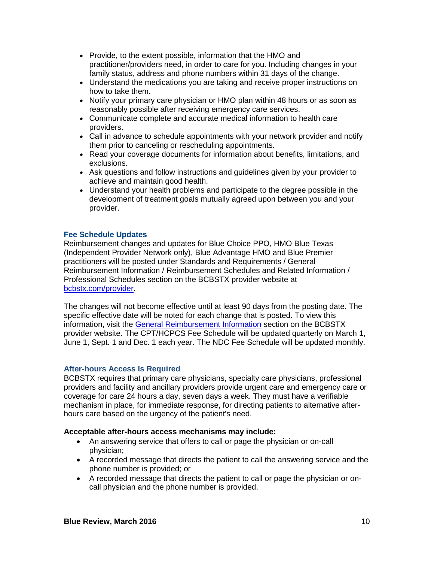- Provide, to the extent possible, information that the HMO and practitioner/providers need, in order to care for you. Including changes in your family status, address and phone numbers within 31 days of the change.
- Understand the medications you are taking and receive proper instructions on how to take them.
- Notify your primary care physician or HMO plan within 48 hours or as soon as reasonably possible after receiving emergency care services.
- Communicate complete and accurate medical information to health care providers.
- Call in advance to schedule appointments with your network provider and notify them prior to canceling or rescheduling appointments.
- Read your coverage documents for information about benefits, limitations, and exclusions.
- Ask questions and follow instructions and guidelines given by your provider to achieve and maintain good health.
- Understand your health problems and participate to the degree possible in the development of treatment goals mutually agreed upon between you and your provider.

# **Fee Schedule Updates**

Reimbursement changes and updates for Blue Choice PPO, HMO Blue Texas (Independent Provider Network only), Blue Advantage HMO and Blue Premier practitioners will be posted under Standards and Requirements / General Reimbursement Information / Reimbursement Schedules and Related Information / Professional Schedules section on the BCBSTX provider website at [bcbstx.com/provider.](http://www.bcbstx.com/provider/)

The changes will not become effective until at least 90 days from the posting date. The specific effective date will be noted for each change that is posted. To view this information, visit the [General Reimbursement Information](http://www.bcbstx.com/provider/gri/index.html) section on the BCBSTX provider website. The CPT/HCPCS Fee Schedule will be updated quarterly on March 1, June 1, Sept. 1 and Dec. 1 each year. The NDC Fee Schedule will be updated monthly.

# **After-hours Access Is Required**

BCBSTX requires that primary care physicians, specialty care physicians, professional providers and facility and ancillary providers provide urgent care and emergency care or coverage for care 24 hours a day, seven days a week. They must have a verifiable mechanism in place, for immediate response, for directing patients to alternative afterhours care based on the urgency of the patient's need.

## **Acceptable after-hours access mechanisms may include:**

- An answering service that offers to call or page the physician or on-call physician;
- A recorded message that directs the patient to call the answering service and the phone number is provided; or
- A recorded message that directs the patient to call or page the physician or oncall physician and the phone number is provided.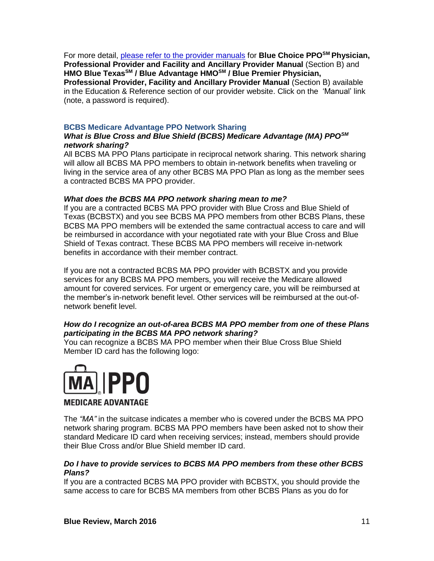For more detail, [please refer to the provider manuals](http://www.bcbstx.com/provider/gri/index.html) for **Blue Choice PPOSM Physician, Professional Provider and Facility and Ancillary Provider Manual** (Section B) and **HMO Blue TexasSM / Blue Advantage HMOSM / Blue Premier Physician,** 

**Professional Provider, Facility and Ancillary Provider Manual** (Section B) available in the Education & Reference section of our provider website. Click on the 'Manual' link (note, a password is required).

## **BCBS Medicare Advantage PPO Network Sharing**

## *What is Blue Cross and Blue Shield (BCBS) Medicare Advantage (MA) PPOSM network sharing?*

All BCBS MA PPO Plans participate in reciprocal network sharing. This network sharing will allow all BCBS MA PPO members to obtain in-network benefits when traveling or living in the service area of any other BCBS MA PPO Plan as long as the member sees a contracted BCBS MA PPO provider.

## *What does the BCBS MA PPO network sharing mean to me?*

If you are a contracted BCBS MA PPO provider with Blue Cross and Blue Shield of Texas (BCBSTX) and you see BCBS MA PPO members from other BCBS Plans, these BCBS MA PPO members will be extended the same contractual access to care and will be reimbursed in accordance with your negotiated rate with your Blue Cross and Blue Shield of Texas contract. These BCBS MA PPO members will receive in-network benefits in accordance with their member contract.

If you are not a contracted BCBS MA PPO provider with BCBSTX and you provide services for any BCBS MA PPO members, you will receive the Medicare allowed amount for covered services. For urgent or emergency care, you will be reimbursed at the member's in-network benefit level. Other services will be reimbursed at the out-ofnetwork benefit level.

## *How do I recognize an out-of-area BCBS MA PPO member from one of these Plans participating in the BCBS MA PPO network sharing?*

You can recognize a BCBS MA PPO member when their Blue Cross Blue Shield Member ID card has the following logo:



The *"MA"* in the suitcase indicates a member who is covered under the BCBS MA PPO network sharing program. BCBS MA PPO members have been asked not to show their standard Medicare ID card when receiving services; instead, members should provide their Blue Cross and/or Blue Shield member ID card.

## *Do I have to provide services to BCBS MA PPO members from these other BCBS Plans?*

If you are a contracted BCBS MA PPO provider with BCBSTX, you should provide the same access to care for BCBS MA members from other BCBS Plans as you do for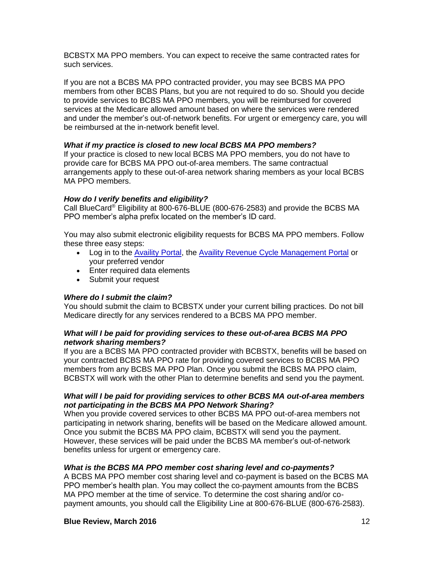BCBSTX MA PPO members. You can expect to receive the same contracted rates for such services.

If you are not a BCBS MA PPO contracted provider, you may see BCBS MA PPO members from other BCBS Plans, but you are not required to do so. Should you decide to provide services to BCBS MA PPO members, you will be reimbursed for covered services at the Medicare allowed amount based on where the services were rendered and under the member's out-of-network benefits. For urgent or emergency care, you will be reimbursed at the in-network benefit level.

# *What if my practice is closed to new local BCBS MA PPO members?*

If your practice is closed to new local BCBS MA PPO members, you do not have to provide care for BCBS MA PPO out-of-area members. The same contractual arrangements apply to these out-of-area network sharing members as your local BCBS MA PPO members.

## *How do I verify benefits and eligibility?*

Call BlueCard® Eligibility at 800-676-BLUE (800-676-2583) and provide the BCBS MA PPO member's alpha prefix located on the member's ID card.

You may also submit electronic eligibility requests for BCBS MA PPO members. Follow these three easy steps:

- Log in to the [Availity Portal,](http://www.availity.com/) the [Availity Revenue Cycle Management Portal](https://claims.realmed.com/) or your preferred vendor
- Enter required data elements
- Submit your request

## *Where do I submit the claim?*

You should submit the claim to BCBSTX under your current billing practices. Do not bill Medicare directly for any services rendered to a BCBS MA PPO member.

## *What will I be paid for providing services to these out-of-area BCBS MA PPO network sharing members?*

If you are a BCBS MA PPO contracted provider with BCBSTX, benefits will be based on your contracted BCBS MA PPO rate for providing covered services to BCBS MA PPO members from any BCBS MA PPO Plan. Once you submit the BCBS MA PPO claim, BCBSTX will work with the other Plan to determine benefits and send you the payment.

## *What will I be paid for providing services to other BCBS MA out-of-area members not participating in the BCBS MA PPO Network Sharing?*

When you provide covered services to other BCBS MA PPO out-of-area members not participating in network sharing, benefits will be based on the Medicare allowed amount. Once you submit the BCBS MA PPO claim, BCBSTX will send you the payment. However, these services will be paid under the BCBS MA member's out-of-network benefits unless for urgent or emergency care.

# *What is the BCBS MA PPO member cost sharing level and co-payments?*

A BCBS MA PPO member cost sharing level and co-payment is based on the BCBS MA PPO member's health plan. You may collect the co-payment amounts from the BCBS MA PPO member at the time of service. To determine the cost sharing and/or copayment amounts, you should call the Eligibility Line at 800-676-BLUE (800-676-2583).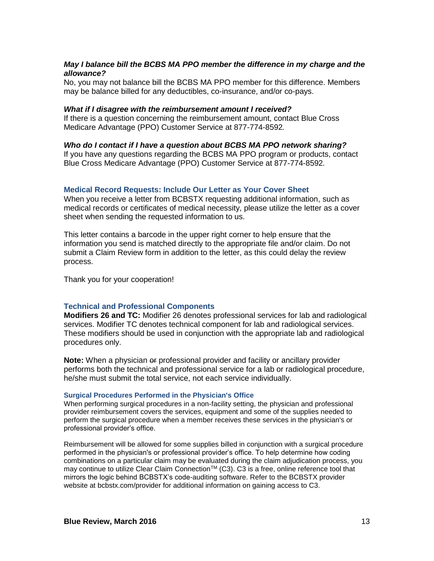## *May I balance bill the BCBS MA PPO member the difference in my charge and the allowance?*

No, you may not balance bill the BCBS MA PPO member for this difference. Members may be balance billed for any deductibles, co-insurance, and/or co-pays.

#### *What if I disagree with the reimbursement amount I received?*

If there is a question concerning the reimbursement amount, contact Blue Cross Medicare Advantage (PPO) Customer Service at 877-774-8592*.*

*Who do I contact if I have a question about BCBS MA PPO network sharing?*  If you have any questions regarding the BCBS MA PPO program or products, contact Blue Cross Medicare Advantage (PPO) Customer Service at 877-774-8592*.*

## **Medical Record Requests: Include Our Letter as Your Cover Sheet**

When you receive a letter from BCBSTX requesting additional information, such as medical records or certificates of medical necessity, please utilize the letter as a cover sheet when sending the requested information to us.

This letter contains a barcode in the upper right corner to help ensure that the information you send is matched directly to the appropriate file and/or claim. Do not submit a Claim Review form in addition to the letter, as this could delay the review process.

Thank you for your cooperation!

## **Technical and Professional Components**

**Modifiers 26 and TC:** Modifier 26 denotes professional services for lab and radiological services. Modifier TC denotes technical component for lab and radiological services. These modifiers should be used in conjunction with the appropriate lab and radiological procedures only.

**Note:** When a physician or professional provider and facility or ancillary provider performs both the technical and professional service for a lab or radiological procedure, he/she must submit the total service, not each service individually.

#### **Surgical Procedures Performed in the Physician's Office**

When performing surgical procedures in a non-facility setting, the physician and professional provider reimbursement covers the services, equipment and some of the supplies needed to perform the surgical procedure when a member receives these services in the physician's or professional provider's office.

Reimbursement will be allowed for some supplies billed in conjunction with a surgical procedure performed in the physician's or professional provider's office. To help determine how coding combinations on a particular claim may be evaluated during the claim adjudication process, you may continue to utilize Clear Claim Connection™ (C3). C3 is a free, online reference tool that mirrors the logic behind BCBSTX's code-auditing software. Refer to the BCBSTX provider website at bcbstx.com/provider for additional information on gaining access to C3.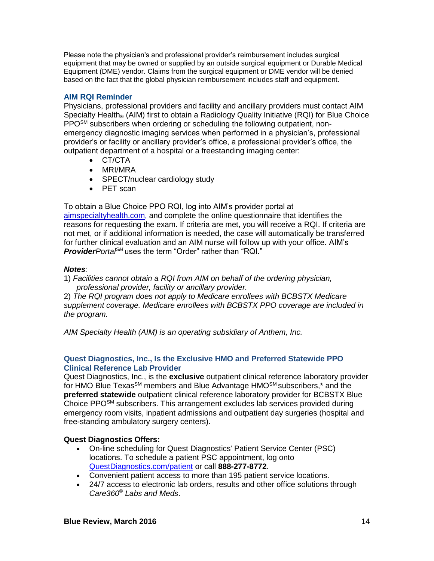Please note the physician's and professional provider's reimbursement includes surgical equipment that may be owned or supplied by an outside surgical equipment or Durable Medical Equipment (DME) vendor. Claims from the surgical equipment or DME vendor will be denied based on the fact that the global physician reimbursement includes staff and equipment.

# **AIM RQI Reminder**

Physicians, professional providers and facility and ancillary providers must contact AIM Specialty Health<sup>®</sup> (AIM) first to obtain a Radiology Quality Initiative (RQI) for Blue Choice PPOSM subscribers when ordering or scheduling the following outpatient, nonemergency diagnostic imaging services when performed in a physician's, professional provider's or facility or ancillary provider's office, a professional provider's office, the outpatient department of a hospital or a freestanding imaging center:

- CT/CTA
- MRI/MRA
- SPECT/nuclear cardiology study
- PFT scan

To obtain a Blue Choice PPO RQI, log into AIM's provider portal at [aimspecialtyhealth.com,](http://www.aimspecialtyhealth.com/) and complete the online questionnaire that identifies the reasons for requesting the exam. If criteria are met, you will receive a RQI. If criteria are not met, or if additional information is needed, the case will automatically be transferred for further clinical evaluation and an AIM nurse will follow up with your office. AIM's *ProviderPortalSM* uses the term "Order" rather than "RQI."

# *Notes:*

1) *Facilities cannot obtain a RQI from AIM on behalf of the ordering physician, professional provider, facility or ancillary provider.*

2) *The RQI program does not apply to Medicare enrollees with BCBSTX Medicare supplement coverage. Medicare enrollees with BCBSTX PPO coverage are included in the program.*

*AIM Specialty Health (AIM) is an operating subsidiary of Anthem, Inc.*

# **Quest Diagnostics, Inc., Is the Exclusive HMO and Preferred Statewide PPO Clinical Reference Lab Provider**

Quest Diagnostics, Inc., is the **exclusive** outpatient clinical reference laboratory provider for HMO Blue Texas<sup>SM</sup> members and Blue Advantage HMO<sup>SM</sup> subscribers,\* and the **preferred statewide** outpatient clinical reference laboratory provider for BCBSTX Blue Choice  $PPO<sup>SM</sup>$  subscribers. This arrangement excludes lab services provided during emergency room visits, inpatient admissions and outpatient day surgeries (hospital and free-standing ambulatory surgery centers).

# **Quest Diagnostics Offers:**

- On-line scheduling for Quest Diagnostics' Patient Service Center (PSC) locations. To schedule a patient PSC appointment, log onto [QuestDiagnostics.com/patient](http://www.questdiagnostics.com/home/patients) or call **888-277-8772**.
- Convenient patient access to more than 195 patient service locations.
- 24/7 access to electronic lab orders, results and other office solutions through *Care360® Labs and Meds*.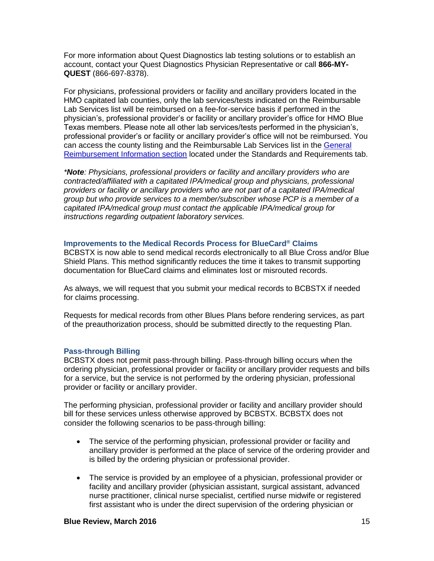For more information about Quest Diagnostics lab testing solutions or to establish an account, contact your Quest Diagnostics Physician Representative or call **866-MY-QUEST** (866-697-8378).

For physicians, professional providers or facility and ancillary providers located in the HMO capitated lab counties, only the lab services/tests indicated on the Reimbursable Lab Services list will be reimbursed on a fee-for-service basis if performed in the physician's, professional provider's or facility or ancillary provider's office for HMO Blue Texas members. Please note all other lab services/tests performed in the physician's, professional provider's or facility or ancillary provider's office will not be reimbursed. You can access the county listing and the Reimbursable Lab Services list in the [General](http://www.bcbstx.com/provider/gri/index.html)  [Reimbursement Information section](http://www.bcbstx.com/provider/gri/index.html) located under the Standards and Requirements tab.

*\*Note: Physicians, professional providers or facility and ancillary providers who are contracted/affiliated with a capitated IPA/medical group and physicians, professional providers or facility or ancillary providers who are not part of a capitated IPA/medical group but who provide services to a member/subscriber whose PCP is a member of a capitated IPA/medical group must contact the applicable IPA/medical group for instructions regarding outpatient laboratory services.*

## **Improvements to the Medical Records Process for BlueCard® Claims**

BCBSTX is now able to send medical records electronically to all Blue Cross and/or Blue Shield Plans. This method significantly reduces the time it takes to transmit supporting documentation for BlueCard claims and eliminates lost or misrouted records.

As always, we will request that you submit your medical records to BCBSTX if needed for claims processing.

Requests for medical records from other Blues Plans before rendering services, as part of the preauthorization process, should be submitted directly to the requesting Plan.

#### **Pass-through Billing**

BCBSTX does not permit pass-through billing. Pass-through billing occurs when the ordering physician, professional provider or facility or ancillary provider requests and bills for a service, but the service is not performed by the ordering physician, professional provider or facility or ancillary provider.

The performing physician, professional provider or facility and ancillary provider should bill for these services unless otherwise approved by BCBSTX. BCBSTX does not consider the following scenarios to be pass-through billing:

- The service of the performing physician, professional provider or facility and ancillary provider is performed at the place of service of the ordering provider and is billed by the ordering physician or professional provider.
- The service is provided by an employee of a physician, professional provider or facility and ancillary provider (physician assistant, surgical assistant, advanced nurse practitioner, clinical nurse specialist, certified nurse midwife or registered first assistant who is under the direct supervision of the ordering physician or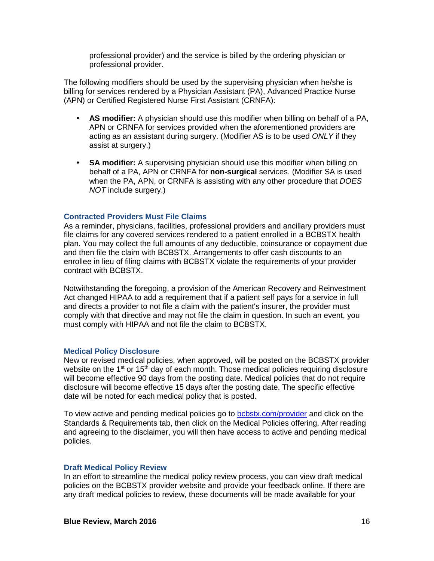professional provider) and the service is billed by the ordering physician or professional provider.

The following modifiers should be used by the supervising physician when he/she is billing for services rendered by a Physician Assistant (PA), Advanced Practice Nurse (APN) or Certified Registered Nurse First Assistant (CRNFA):

- **• AS modifier:** A physician should use this modifier when billing on behalf of a PA, APN or CRNFA for services provided when the aforementioned providers are acting as an assistant during surgery. (Modifier AS is to be used *ONLY* if they assist at surgery.)
- **• SA modifier:** A supervising physician should use this modifier when billing on behalf of a PA, APN or CRNFA for **non-surgical** services. (Modifier SA is used when the PA, APN, or CRNFA is assisting with any other procedure that *DOES NOT* include surgery.)

#### **Contracted Providers Must File Claims**

As a reminder, physicians, facilities, professional providers and ancillary providers must file claims for any covered services rendered to a patient enrolled in a BCBSTX health plan. You may collect the full amounts of any deductible, coinsurance or copayment due and then file the claim with BCBSTX. Arrangements to offer cash discounts to an enrollee in lieu of filing claims with BCBSTX violate the requirements of your provider contract with BCBSTX.

Notwithstanding the foregoing, a provision of the American Recovery and Reinvestment Act changed HIPAA to add a requirement that if a patient self pays for a service in full and directs a provider to not file a claim with the patient's insurer, the provider must comply with that directive and may not file the claim in question. In such an event, you must comply with HIPAA and not file the claim to BCBSTX.

#### **Medical Policy Disclosure**

New or revised medical policies, when approved, will be posted on the BCBSTX provider website on the  $1<sup>st</sup>$  or  $15<sup>th</sup>$  day of each month. Those medical policies requiring disclosure will become effective 90 days from the posting date. Medical policies that do not require disclosure will become effective 15 days after the posting date. The specific effective date will be noted for each medical policy that is posted.

To view active and pending medical policies go to [bcbstx.com/provider](http://www.bcbstx.com/provider) and click on the Standards & Requirements tab, then click on the Medical Policies offering. After reading and agreeing to the disclaimer, you will then have access to active and pending medical policies.

#### **Draft Medical Policy Review**

In an effort to streamline the medical policy review process, you can view draft medical policies on the BCBSTX provider website and provide your feedback online. If there are any draft medical policies to review, these documents will be made available for your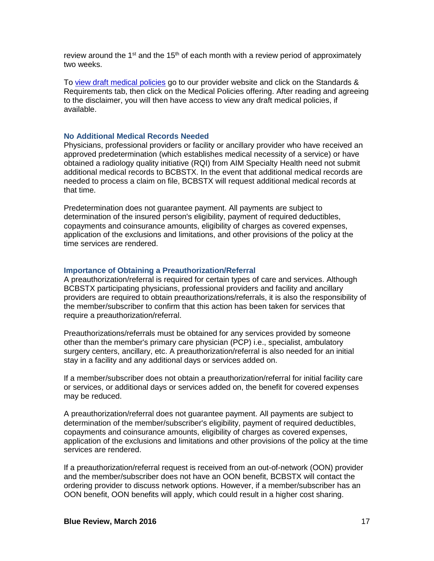review around the  $1<sup>st</sup>$  and the  $15<sup>th</sup>$  of each month with a review period of approximately two weeks.

To [view draft medical policies](http://www.medicalpolicy.hcsc.net/medicalpolicy/disclaimer?corpEntCd=TX1) go to our provider website and click on the Standards & Requirements tab, then click on the Medical Policies offering. After reading and agreeing to the disclaimer, you will then have access to view any draft medical policies, if available.

#### **No Additional Medical Records Needed**

Physicians, professional providers or facility or ancillary provider who have received an approved predetermination (which establishes medical necessity of a service) or have obtained a radiology quality initiative (RQI) from AIM Specialty Health need not submit additional medical records to BCBSTX. In the event that additional medical records are needed to process a claim on file, BCBSTX will request additional medical records at that time.

Predetermination does not guarantee payment. All payments are subject to determination of the insured person's eligibility, payment of required deductibles, copayments and coinsurance amounts, eligibility of charges as covered expenses, application of the exclusions and limitations, and other provisions of the policy at the time services are rendered.

#### **Importance of Obtaining a Preauthorization/Referral**

A preauthorization/referral is required for certain types of care and services. Although BCBSTX participating physicians, professional providers and facility and ancillary providers are required to obtain preauthorizations/referrals, it is also the responsibility of the member/subscriber to confirm that this action has been taken for services that require a preauthorization/referral.

Preauthorizations/referrals must be obtained for any services provided by someone other than the member's primary care physician (PCP) i.e., specialist, ambulatory surgery centers, ancillary, etc. A preauthorization/referral is also needed for an initial stay in a facility and any additional days or services added on.

If a member/subscriber does not obtain a preauthorization/referral for initial facility care or services, or additional days or services added on, the benefit for covered expenses may be reduced.

A preauthorization/referral does not guarantee payment. All payments are subject to determination of the member/subscriber's eligibility, payment of required deductibles, copayments and coinsurance amounts, eligibility of charges as covered expenses, application of the exclusions and limitations and other provisions of the policy at the time services are rendered.

If a preauthorization/referral request is received from an out-of-network (OON) provider and the member/subscriber does not have an OON benefit, BCBSTX will contact the ordering provider to discuss network options. However, if a member/subscriber has an OON benefit, OON benefits will apply, which could result in a higher cost sharing.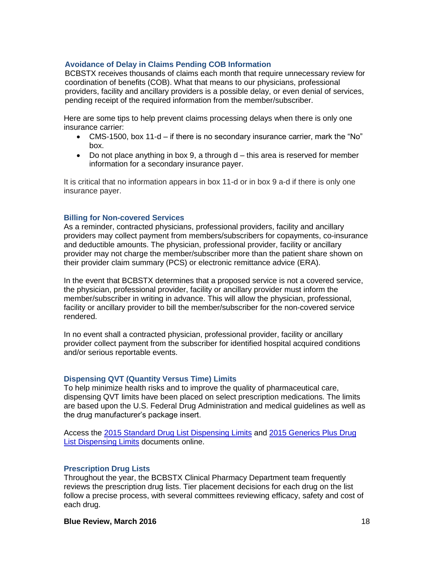## **Avoidance of Delay in Claims Pending COB Information**

BCBSTX receives thousands of claims each month that require unnecessary review for coordination of benefits (COB). What that means to our physicians, professional providers, facility and ancillary providers is a possible delay, or even denial of services, pending receipt of the required information from the member/subscriber.

Here are some tips to help prevent claims processing delays when there is only one insurance carrier:

- CMS-1500, box 11-d if there is no secondary insurance carrier, mark the "No" box.
- Do not place anything in box 9, a through d this area is reserved for member information for a secondary insurance payer.

It is critical that no information appears in box 11-d or in box 9 a-d if there is only one insurance payer.

## **Billing for Non-covered Services**

As a reminder, contracted physicians, professional providers, facility and ancillary providers may collect payment from members/subscribers for copayments, co-insurance and deductible amounts. The physician, professional provider, facility or ancillary provider may not charge the member/subscriber more than the patient share shown on their provider claim summary (PCS) or electronic remittance advice (ERA).

In the event that BCBSTX determines that a proposed service is not a covered service, the physician, professional provider, facility or ancillary provider must inform the member/subscriber in writing in advance. This will allow the physician, professional, facility or ancillary provider to bill the member/subscriber for the non-covered service rendered.

In no event shall a contracted physician, professional provider, facility or ancillary provider collect payment from the subscriber for identified hospital acquired conditions and/or serious reportable events.

## **Dispensing QVT (Quantity Versus Time) Limits**

To help minimize health risks and to improve the quality of pharmaceutical care, dispensing QVT limits have been placed on select prescription medications. The limits are based upon the U.S. Federal Drug Administration and medical guidelines as well as the drug manufacturer's package insert.

Access the [2015 Standard Drug List Dispensing Limits](http://www.bcbstx.com/pdf/rx/rx_dispensing_limits_std_tx.pdf) and [2015 Generics Plus Drug](http://www.bcbstx.com/pdf/rx/rx_dispensing_limits_gen_tx.pdf)  [List Dispensing Limits](http://www.bcbstx.com/pdf/rx/rx_dispensing_limits_gen_tx.pdf) documents online.

#### **Prescription Drug Lists**

Throughout the year, the BCBSTX Clinical Pharmacy Department team frequently reviews the prescription drug lists. Tier placement decisions for each drug on the list follow a precise process, with several committees reviewing efficacy, safety and cost of each drug.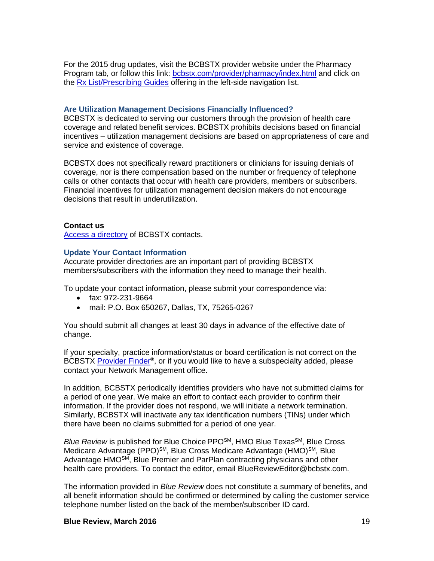For the 2015 drug updates, visit the BCBSTX provider website under the Pharmacy Program tab, or follow this link: [bcbstx.com/provider/pharmacy/index.html](http://www.bcbstx.com/provider/pharmacy/index.html) and click on the [Rx List/Prescribing Guides](http://www.bcbstx.com/provider/pharmacy/rx_list.html) offering in the left-side navigation list.

#### **Are Utilization Management Decisions Financially Influenced?**

BCBSTX is dedicated to serving our customers through the provision of health care coverage and related benefit services. BCBSTX prohibits decisions based on financial incentives – utilization management decisions are based on appropriateness of care and service and existence of coverage.

BCBSTX does not specifically reward practitioners or clinicians for issuing denials of coverage, nor is there compensation based on the number or frequency of telephone calls or other contacts that occur with health care providers, members or subscribers. Financial incentives for utilization management decision makers do not encourage decisions that result in underutilization.

#### **Contact us**

[Access a directory](http://www.bcbstx.com/provider/contact_us.html) of BCBSTX contacts.

#### **Update Your Contact Information**

Accurate provider directories are an important part of providing BCBSTX members/subscribers with the information they need to manage their health.

To update your contact information, please submit your correspondence via:

- fax: 972-231-9664
- mail: P.O. Box 650267, Dallas, TX, 75265-0267

You should submit all changes at least 30 days in advance of the effective date of change.

If your specialty, practice information/status or board certification is not correct on the BCBSTX **Provider Finder<sup>®</sup>, or if you would like to have a subspecialty added, please** contact your Network Management office.

In addition, BCBSTX periodically identifies providers who have not submitted claims for a period of one year. We make an effort to contact each provider to confirm their information. If the provider does not respond, we will initiate a network termination. Similarly, BCBSTX will inactivate any tax identification numbers (TINs) under which there have been no claims submitted for a period of one year.

Blue Review is published for Blue Choice PPO<sup>SM</sup>, HMO Blue Texas<sup>SM</sup>, Blue Cross Medicare Advantage (PPO)<sup>SM</sup>, Blue Cross Medicare Advantage (HMO)<sup>SM</sup>, Blue Advantage HMO<sup>SM</sup>, Blue Premier and ParPlan contracting physicians and other health care providers. To contact the editor, email BlueReviewEditor@bcbstx.com.

The information provided in *Blue Review* does not constitute a summary of benefits, and all benefit information should be confirmed or determined by calling the customer service telephone number listed on the back of the member/subscriber ID card.